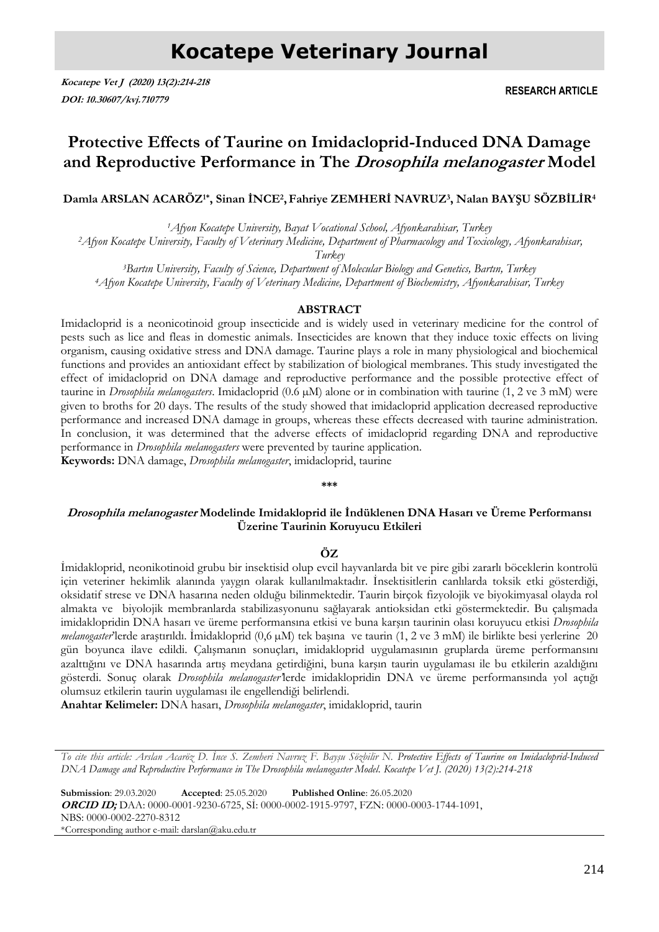# **Kocatepe Veterinary Journal**

**Kocatepe Vet J (2020) 13(2):214-218 DOI: 10.30607/kvj.710779**

**RESEARCH ARTICLE**

# **Protective Effects of Taurine on Imidacloprid-Induced DNA Damage and Reproductive Performance in The Drosophila melanogaster Model**

#### **Damla ARSLAN ACARÖZ1\*, Sinan İNCE<sup>2</sup> ,Fahriye ZEMHERİ NAVRUZ<sup>3</sup> , Nalan BAYŞU SÖZBİLİR<sup>4</sup>**

*<sup>1</sup>Afyon Kocatepe University, Bayat Vocational School, Afyonkarahisar, Turkey*

*<sup>2</sup>Afyon Kocatepe University, Faculty of Veterinary Medicine, Department of Pharmacology and Toxicology, Afyonkarahisar,* 

*Turkey*

*<sup>3</sup>Bartın University, Faculty of Science, Department of Molecular Biology and Genetics, Bartın, Turkey*

*<sup>4</sup>Afyon Kocatepe University, Faculty of Veterinary Medicine, Department of Biochemistry, Afyonkarahisar, Turkey*

#### **ABSTRACT**

Imidacloprid is a neonicotinoid group insecticide and is widely used in veterinary medicine for the control of pests such as lice and fleas in domestic animals. Insecticides are known that they induce toxic effects on living organism, causing oxidative stress and DNA damage. Taurine plays a role in many physiological and biochemical functions and provides an antioxidant effect by stabilization of biological membranes. This study investigated the effect of imidacloprid on DNA damage and reproductive performance and the possible protective effect of taurine in *Drosophila melanogasters*. Imidacloprid (0.6 µM) alone or in combination with taurine (1, 2 ve 3 mM) were given to broths for 20 days. The results of the study showed that imidacloprid application decreased reproductive performance and increased DNA damage in groups, whereas these effects decreased with taurine administration. In conclusion, it was determined that the adverse effects of imidacloprid regarding DNA and reproductive performance in *Drosophila melanogasters* were prevented by taurine application.

**Keywords:** DNA damage, *Drosophila melanogaster*, imidacloprid, taurine

#### **\*\*\***

## **Drosophila melanogaster Modelinde Imidakloprid ile İndüklenen DNA Hasarı ve Üreme Performansı Üzerine Taurinin Koruyucu Etkileri**

#### **ÖZ**

İmidakloprid, neonikotinoid grubu bir insektisid olup evcil hayvanlarda bit ve pire gibi zararlı böceklerin kontrolü için veteriner hekimlik alanında yaygın olarak kullanılmaktadır. İnsektisitlerin canlılarda toksik etki gösterdiği, oksidatif strese ve DNA hasarına neden olduğu bilinmektedir. Taurin birçok fizyolojik ve biyokimyasal olayda rol almakta ve biyolojik membranlarda stabilizasyonunu sağlayarak antioksidan etki göstermektedir. Bu çalışmada imidaklopridin DNA hasarı ve üreme performansına etkisi ve buna karşın taurinin olası koruyucu etkisi *Drosophila melanogaster*'lerde araştırıldı. İmidakloprid (0,6 µM) tek başına ve taurin (1, 2 ve 3 mM) ile birlikte besi yerlerine 20 gün boyunca ilave edildi. Çalışmanın sonuçları, imidakloprid uygulamasının gruplarda üreme performansını azalttığını ve DNA hasarında artış meydana getirdiğini, buna karşın taurin uygulaması ile bu etkilerin azaldığını gösterdi. Sonuç olarak *Drosophila melanogaster'*lerde imidaklopridin DNA ve üreme performansında yol açtığı olumsuz etkilerin taurin uygulaması ile engellendiği belirlendi.

**Anahtar Kelimeler:** DNA hasarı, *Drosophila melanogaster*, imidakloprid, taurin

*To cite this article: Arslan Acaröz D. İnce S. Zemheri Navruz F. Bayşu Sözbilir N. Protective Effects of Taurine on Imidacloprid-Induced DNA Damage and Reproductive Performance in The Drosophila melanogaster Model. Kocatepe Vet J. (2020) 13(2):214-218*

**Submission**: 29.03.2020 **Accepted**: 25.05.2020 **Published Online**: 26.05.2020 **ORCID ID;** DAA: 0000-0001-9230-6725, Sİ: 0000-0002-1915-9797, FZN: 0000-0003-1744-1091, NBS: 0000-0002-2270-8312 \*Corresponding author e-mail: darslan@aku.edu.tr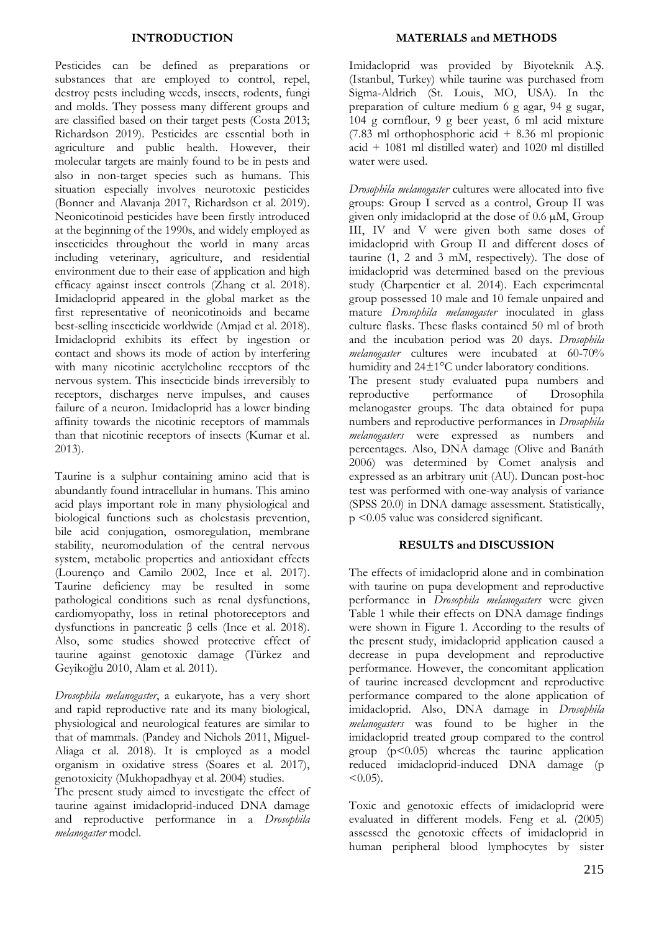### **INTRODUCTION**

Pesticides can be defined as preparations or substances that are employed to control, repel, destroy pests including weeds, insects, rodents, fungi and molds. They possess many different groups and are classified based on their target pests (Costa 2013; Richardson 2019). Pesticides are essential both in agriculture and public health. However, their molecular targets are mainly found to be in pests and also in non-target species such as humans. This situation especially involves neurotoxic pesticides (Bonner and Alavanja 2017, Richardson et al. 2019). Neonicotinoid pesticides have been firstly introduced at the beginning of the 1990s, and widely employed as insecticides throughout the world in many areas including veterinary, agriculture, and residential environment due to their ease of application and high efficacy against insect controls (Zhang et al. 2018). Imidacloprid appeared in the global market as the first representative of neonicotinoids and became best-selling insecticide worldwide (Amjad et al. 2018). Imidacloprid exhibits its effect by ingestion or contact and shows its mode of action by interfering with many nicotinic acetylcholine receptors of the nervous system. This insecticide binds irreversibly to receptors, discharges nerve impulses, and causes failure of a neuron. Imidacloprid has a lower binding affinity towards the nicotinic receptors of mammals than that nicotinic receptors of insects (Kumar et al. 2013).

Taurine is a sulphur containing amino acid that is abundantly found intracellular in humans. This amino acid plays important role in many physiological and biological functions such as cholestasis prevention, bile acid conjugation, osmoregulation, membrane stability, neuromodulation of the central nervous system, metabolic properties and antioxidant effects (Lourenço and Camilo 2002, Ince et al. 2017). Taurine deficiency may be resulted in some pathological conditions such as renal dysfunctions, cardiomyopathy, loss in retinal photoreceptors and dysfunctions in pancreatic β cells (Ince et al. 2018). Also, some studies showed protective effect of taurine against genotoxic damage (Türkez and Geyikoğlu 2010, Alam et al. 2011).

*Drosophila melanogaster*, a eukaryote, has a very short and rapid reproductive rate and its many biological, physiological and neurological features are similar to that of mammals. (Pandey and Nichols 2011, Miguel-Aliaga et al. 2018). It is employed as a model organism in oxidative stress (Soares et al. 2017), genotoxicity (Mukhopadhyay et al. 2004) studies.

The present study aimed to investigate the effect of taurine against imidacloprid-induced DNA damage and reproductive performance in a *Drosophila melanogaster* model.

Imidacloprid was provided by Biyoteknik A.Ş. (Istanbul, Turkey) while taurine was purchased from Sigma-Aldrich (St. Louis, MO, USA). In the preparation of culture medium 6 g agar, 94 g sugar, 104 g cornflour, 9 g beer yeast, 6 ml acid mixture (7.83 ml orthophosphoric acid + 8.36 ml propionic acid + 1081 ml distilled water) and 1020 ml distilled water were used.

*Drosophila melanogaster* cultures were allocated into five groups: Group I served as a control, Group II was given only imidacloprid at the dose of 0.6 µM, Group III, IV and V were given both same doses of imidacloprid with Group II and different doses of taurine (1, 2 and 3 mM, respectively). The dose of imidacloprid was determined based on the previous study (Charpentier et al. 2014). Each experimental group possessed 10 male and 10 female unpaired and mature *Drosophila melanogaster* inoculated in glass culture flasks. These flasks contained 50 ml of broth and the incubation period was 20 days. *Drosophila*  melanogaster cultures were incubated at 60-70% humidity and 24±1°C under laboratory conditions. The present study evaluated pupa numbers and reproductive performance of Drosophila melanogaster groups. The data obtained for pupa numbers and reproductive performances in *Drosophila melanogasters* were expressed as numbers and percentages. Also, DNA damage (Olive and Banáth 2006) was determined by Comet analysis and expressed as an arbitrary unit (AU). Duncan post-hoc test was performed with one-way analysis of variance (SPSS 20.0) in DNA damage assessment. Statistically, p <0.05 value was considered significant.

# **RESULTS and DISCUSSION**

The effects of imidacloprid alone and in combination with taurine on pupa development and reproductive performance in *Drosophila melanogasters* were given Table 1 while their effects on DNA damage findings were shown in Figure 1. According to the results of the present study, imidacloprid application caused a decrease in pupa development and reproductive performance. However, the concomitant application of taurine increased development and reproductive performance compared to the alone application of imidacloprid. Also, DNA damage in *Drosophila melanogasters* was found to be higher in the imidacloprid treated group compared to the control group (p<0.05) whereas the taurine application reduced imidacloprid-induced DNA damage (p  $< 0.05$ ).

Toxic and genotoxic effects of imidacloprid were evaluated in different models. Feng et al. (2005) assessed the genotoxic effects of imidacloprid in human peripheral blood lymphocytes by sister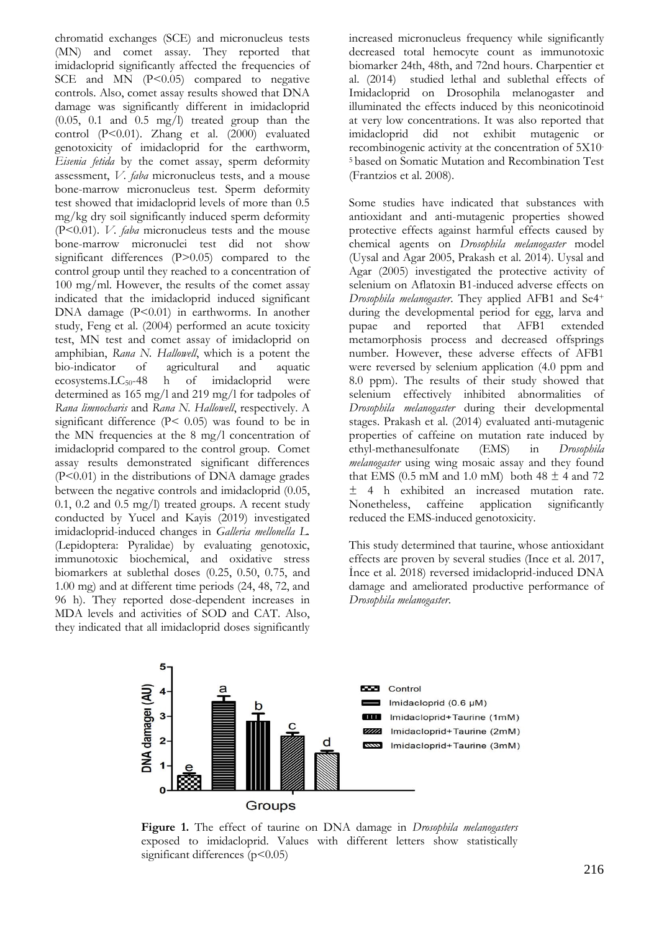chromatid exchanges (SCE) and micronucleus tests (MN) and comet assay. They reported that imidacloprid significantly affected the frequencies of SCE and MN  $(P<0.05)$  compared to negative controls. Also, comet assay results showed that DNA damage was significantly different in imidacloprid (0.05, 0.1 and 0.5 mg/l) treated group than the control (P<0.01). Zhang et al. (2000) evaluated genotoxicity of imidacloprid for the earthworm, *Eisenia fetida* by the comet assay, sperm deformity assessment, *V. faba* micronucleus tests, and a mouse bone-marrow micronucleus test. Sperm deformity test showed that imidacloprid levels of more than 0.5 mg/kg dry soil significantly induced sperm deformity (P<0.01). *V. faba* micronucleus tests and the mouse bone-marrow micronuclei test did not show significant differences (P>0.05) compared to the control group until they reached to a concentration of 100 mg/ml. However, the results of the comet assay indicated that the imidacloprid induced significant DNA damage  $(P<0.01)$  in earthworms. In another study, Feng et al. (2004) performed an acute toxicity test, MN test and comet assay of imidacloprid on amphibian, *Rana N. Hallowell*, which is a potent the bio-indicator of agricultural and aquatic ecosystems.LC<sub>50</sub>-48 h of imidacloprid were determined as 165 mg/l and 219 mg/l for tadpoles of *Rana limnocharis* and *Rana N. Hallowell*, respectively. A significant difference (P< 0.05) was found to be in the MN frequencies at the 8 mg/l concentration of imidacloprid compared to the control group. Comet assay results demonstrated significant differences (P<0.01) in the distributions of DNA damage grades between the negative controls and imidacloprid (0.05, 0.1, 0.2 and 0.5 mg/l) treated groups. A recent study conducted by Yucel and Kayis (2019) investigated imidacloprid-induced changes in *Galleria mellonella L.* (Lepidoptera: Pyralidae) by evaluating genotoxic, immunotoxic biochemical, and oxidative stress biomarkers at sublethal doses (0.25, 0.50, 0.75, and 1.00 mg) and at different time periods (24, 48, 72, and 96 h). They reported dose-dependent increases in MDA levels and activities of SOD and CAT. Also, they indicated that all imidacloprid doses significantly

increased micronucleus frequency while significantly decreased total hemocyte count as immunotoxic biomarker 24th, 48th, and 72nd hours. Charpentier et al. (2014) studied lethal and sublethal effects of Imidacloprid on Drosophila melanogaster and illuminated the effects induced by this neonicotinoid at very low concentrations. It was also reported that imidacloprid did not exhibit mutagenic or recombinogenic activity at the concentration of 5X10- <sup>5</sup>based on Somatic Mutation and Recombination Test (Frantzios et al. 2008).

Some studies have indicated that substances with antioxidant and anti-mutagenic properties showed protective effects against harmful effects caused by chemical agents on *Drosophila melanogaster* model (Uysal and Agar 2005, Prakash et al. 2014). Uysal and Agar (2005) investigated the protective activity of selenium on Aflatoxin B1-induced adverse effects on *Drosophila melanogaster*. They applied AFB1 and Se4<sup>+</sup> during the developmental period for egg, larva and pupae and reported that AFB1 extended metamorphosis process and decreased offsprings number. However, these adverse effects of AFB1 were reversed by selenium application (4.0 ppm and 8.0 ppm). The results of their study showed that selenium effectively inhibited abnormalities of *Drosophila melanogaster* during their developmental stages. Prakash et al. (2014) evaluated anti-mutagenic properties of caffeine on mutation rate induced by ethyl-methanesulfonate (EMS) in *Drosophila melanogaster* using wing mosaic assay and they found that EMS (0.5 mM and 1.0 mM) both  $48 \pm 4$  and 72 ± 4 h exhibited an increased mutation rate. Nonetheless, caffeine application significantly reduced the EMS-induced genotoxicity.

This study determined that taurine, whose antioxidant effects are proven by several studies (Ince et al. 2017, İnce et al. 2018) reversed imidacloprid-induced DNA damage and ameliorated productive performance of *Drosophila melanogaster*.



**Figure 1.** The effect of taurine on DNA damage in *Drosophila melanogasters* exposed to imidacloprid. Values with different letters show statistically significant differences  $(p<0.05)$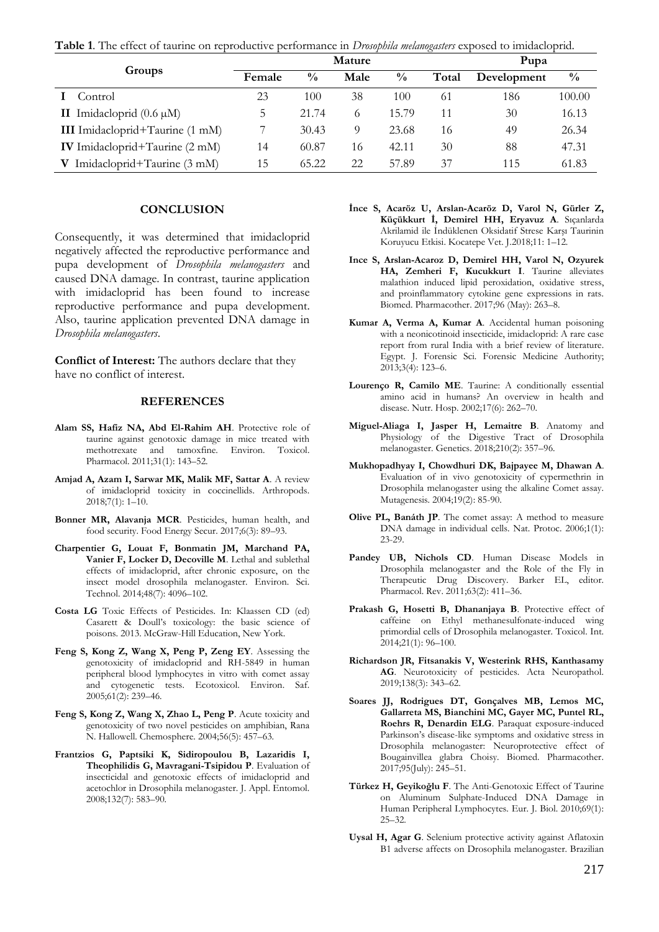**Table 1**. The effect of taurine on reproductive performance in *Drosophila melanogasters* exposed to imidacloprid.

| Groups                                 | Mature |               |      |               |       | Pupa        |               |
|----------------------------------------|--------|---------------|------|---------------|-------|-------------|---------------|
|                                        | Female | $\frac{0}{0}$ | Male | $\frac{0}{0}$ | Total | Development | $\frac{0}{0}$ |
| Control                                | 23     | 100           | 38   | 100           | 61    | 186         | 100.00        |
| II Imidacloprid $(0.6 \mu M)$          | C      | 21.74         | 6    | 15.79         | 11    | 30          | 16.13         |
| <b>III</b> Imidacloprid+Taurine (1 mM) |        | 30.43         | 9    | 23.68         | 16    | 49          | 26.34         |
| <b>IV</b> Imidacloprid+Taurine (2 mM)  | 14     | 60.87         | 16   | 42.11         | 30    | 88          | 47.31         |
| Imidacloprid+Taurine (3 mM)<br>V       | 15     | 65.22         | 22   | 57.89         | 37    | 115         | 61.83         |

#### **CONCLUSION**

Consequently, it was determined that imidacloprid negatively affected the reproductive performance and pupa development of *Drosophila melanogasters* and caused DNA damage. In contrast, taurine application with imidacloprid has been found to increase reproductive performance and pupa development. Also, taurine application prevented DNA damage in *Drosophila melanogasters*.

**Conflict of Interest:** The authors declare that they have no conflict of interest.

#### **REFERENCES**

- **Alam SS, Hafiz NA, Abd El-Rahim AH**. Protective role of taurine against genotoxic damage in mice treated with methotrexate and tamoxfine. Environ. Toxicol. Pharmacol. 2011;31(1): 143–52.
- **Amjad A, Azam I, Sarwar MK, Malik MF, Sattar A**. A review of imidacloprid toxicity in coccinellids. Arthropods. 2018;7(1): 1–10.
- **Bonner MR, Alavanja MCR**. Pesticides, human health, and food security. Food Energy Secur. 2017;6(3): 89–93.
- **Charpentier G, Louat F, Bonmatin JM, Marchand PA, Vanier F, Locker D, Decoville M**. Lethal and sublethal effects of imidacloprid, after chronic exposure, on the insect model drosophila melanogaster. Environ. Sci. Technol. 2014;48(7): 4096–102.
- **Costa LG** Toxic Effects of Pesticides. In: Klaassen CD (ed) Casarett & Doull's toxicology: the basic science of poisons. 2013. McGraw-Hill Education, New York.
- **Feng S, Kong Z, Wang X, Peng P, Zeng EY**. Assessing the genotoxicity of imidacloprid and RH-5849 in human peripheral blood lymphocytes in vitro with comet assay and cytogenetic tests. Ecotoxicol. Environ. Saf. 2005;61(2): 239–46.
- **Feng S, Kong Z, Wang X, Zhao L, Peng P**. Acute toxicity and genotoxicity of two novel pesticides on amphibian, Rana N. Hallowell. Chemosphere. 2004;56(5): 457–63.
- **Frantzios G, Paptsiki K, Sidiropoulou B, Lazaridis I, Theophilidis G, Mavragani-Tsipidou P**. Evaluation of insecticidal and genotoxic effects of imidacloprid and acetochlor in Drosophila melanogaster. J. Appl. Entomol. 2008;132(7): 583–90.
- **İnce S, Acaröz U, Arslan-Acaröz D, Varol N, Gürler Z, Küçükkurt İ, Demirel HH, Eryavuz A**. Sıçanlarda Akrilamid ile İndüklenen Oksidatif Strese Karşı Taurinin Koruyucu Etkisi. Kocatepe Vet. J.2018;11: 1–12.
- **Ince S, Arslan-Acaroz D, Demirel HH, Varol N, Ozyurek HA, Zemheri F, Kucukkurt I**. Taurine alleviates malathion induced lipid peroxidation, oxidative stress, and proinflammatory cytokine gene expressions in rats. Biomed. Pharmacother. 2017;96 (May): 263–8.
- **Kumar A, Verma A, Kumar A**. Accidental human poisoning with a neonicotinoid insecticide, imidacloprid: A rare case report from rural India with a brief review of literature. Egypt. J. Forensic Sci. Forensic Medicine Authority; 2013;3(4): 123–6.
- **Lourenço R, Camilo ME**. Taurine: A conditionally essential amino acid in humans? An overview in health and disease. Nutr. Hosp. 2002;17(6): 262–70.
- **Miguel-Aliaga I, Jasper H, Lemaitre B**. Anatomy and Physiology of the Digestive Tract of Drosophila melanogaster. Genetics. 2018;210(2): 357–96.
- **Mukhopadhyay I, Chowdhuri DK, Bajpayee M, Dhawan A**. Evaluation of in vivo genotoxicity of cypermethrin in Drosophila melanogaster using the alkaline Comet assay. Mutagenesis. 2004;19(2): 85-90.
- **Olive PL, Banáth JP**. The comet assay: A method to measure DNA damage in individual cells. Nat. Protoc. 2006;1(1): 23-29.
- Pandey UB, Nichols CD. Human Disease Models in Drosophila melanogaster and the Role of the Fly in Therapeutic Drug Discovery. Barker EL, editor. Pharmacol. Rev. 2011;63(2): 411–36.
- Prakash G, Hosetti B, Dhananjaya B. Protective effect of caffeine on Ethyl methanesulfonate-induced wing primordial cells of Drosophila melanogaster. Toxicol. Int. 2014;21(1): 96–100.
- **Richardson JR, Fitsanakis V, Westerink RHS, Kanthasamy AG**. Neurotoxicity of pesticides. Acta Neuropathol. 2019;138(3): 343–62.
- **Soares JJ, Rodrigues DT, Gonçalves MB, Lemos MC, Gallarreta MS, Bianchini MC, Gayer MC, Puntel RL, Roehrs R, Denardin ELG**. Paraquat exposure-induced Parkinson's disease-like symptoms and oxidative stress in Drosophila melanogaster: Neuroprotective effect of Bougainvillea glabra Choisy. Biomed. Pharmacother. 2017;95(July): 245–51.
- **Türkez H, Geyikoğlu F**. The Anti-Genotoxic Effect of Taurine on Aluminum Sulphate-Induced DNA Damage in Human Peripheral Lymphocytes. Eur. J. Biol. 2010;69(1): 25–32.
- **Uysal H, Agar G**. Selenium protective activity against Aflatoxin B1 adverse affects on Drosophila melanogaster. Brazilian